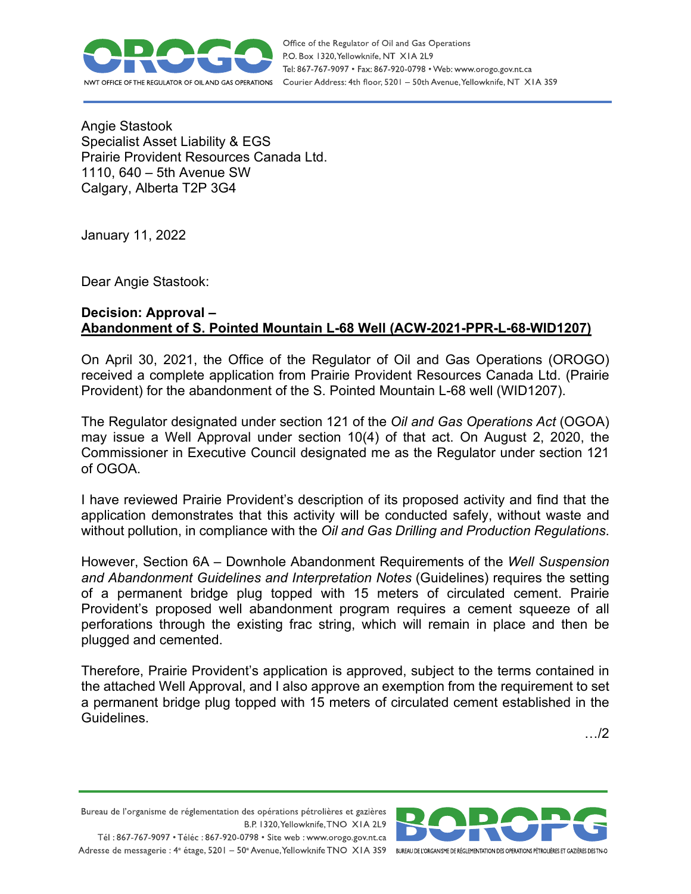

Angie Stastook Specialist Asset Liability & EGS Prairie Provident Resources Canada Ltd. 1110, 640 – 5th Avenue SW Calgary, Alberta T2P 3G4

January 11, 2022

Dear Angie Stastook:

## **Decision: Approval – Abandonment of S. Pointed Mountain L-68 Well (ACW-2021-PPR-L-68-WID1207)**

On April 30, 2021, the Office of the Regulator of Oil and Gas Operations (OROGO) received a complete application from Prairie Provident Resources Canada Ltd. (Prairie Provident) for the abandonment of the S. Pointed Mountain L-68 well (WID1207).

The Regulator designated under section 121 of the *Oil and Gas Operations Act* (OGOA) may issue a Well Approval under section 10(4) of that act. On August 2, 2020, the Commissioner in Executive Council designated me as the Regulator under section 121 of OGOA.

I have reviewed Prairie Provident's description of its proposed activity and find that the application demonstrates that this activity will be conducted safely, without waste and without pollution, in compliance with the *Oil and Gas Drilling and Production Regulations*.

However, Section 6A – Downhole Abandonment Requirements of the *Well Suspension and Abandonment Guidelines and Interpretation Notes* (Guidelines) requires the setting of a permanent bridge plug topped with 15 meters of circulated cement. Prairie Provident's proposed well abandonment program requires a cement squeeze of all perforations through the existing frac string, which will remain in place and then be plugged and cemented.

Therefore, Prairie Provident's application is approved, subject to the terms contained in the attached Well Approval, and I also approve an exemption from the requirement to set a permanent bridge plug topped with 15 meters of circulated cement established in the **Guidelines** 

…/2

Bureau de l'organisme de réglementation des opérations pétrolières et gazières B.P. 1320, Yellowknife, TNO XIA 2L9 Tél: 867-767-9097 • Téléc: 867-920-0798 • Site web: www.orogo.gov.nt.ca

Adresse de messagerie : 4<sup>e</sup> étage, 5201 - 50° Avenue, Yellowknife TNO XIA 3S9 BUREAU DEL'ORGANISME DE RÉGLEMENTATION DES OPERATIONS PÉTROLIÈRES ET GAZIÈRES DESTNO

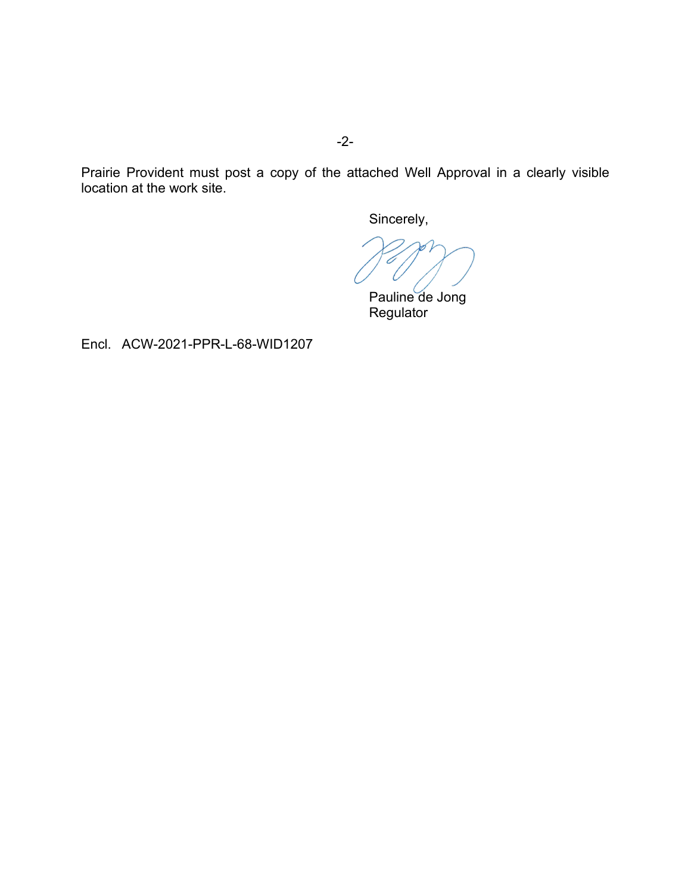Prairie Provident must post a copy of the attached Well Approval in a clearly visible location at the work site.

Sincerely,

Pauline de Jong **Regulator** 

Encl. ACW-2021-PPR-L-68-WID1207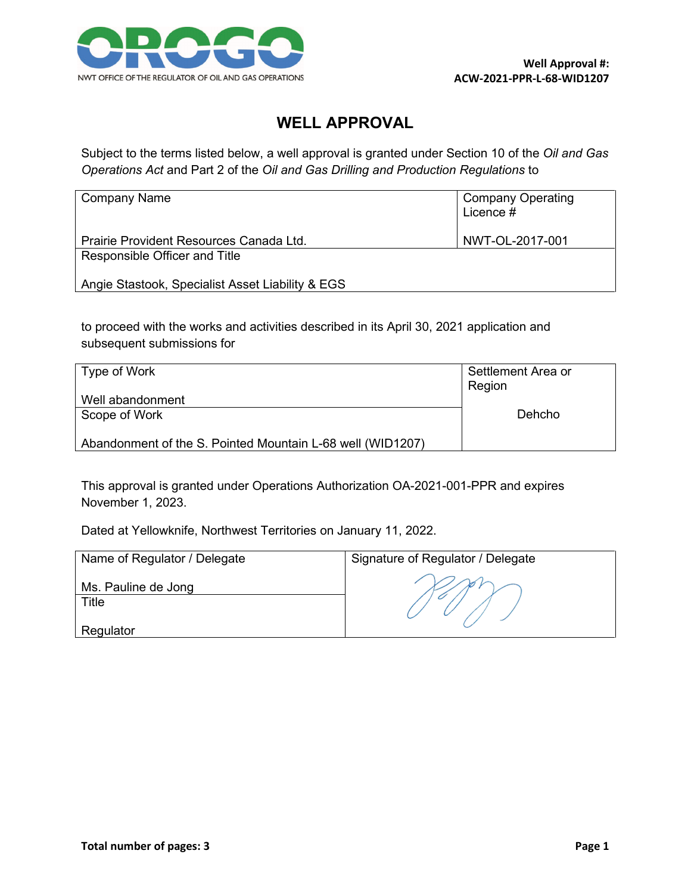

## **WELL APPROVAL**

Subject to the terms listed below, a well approval is granted under Section 10 of the *Oil and Gas Operations Act* and Part 2 of the *Oil and Gas Drilling and Production Regulations* to

| Company Name                                     | <b>Company Operating</b><br>Licence # |
|--------------------------------------------------|---------------------------------------|
| Prairie Provident Resources Canada Ltd.          | NWT-OL-2017-001                       |
| Responsible Officer and Title                    |                                       |
| Angie Stastook, Specialist Asset Liability & EGS |                                       |

to proceed with the works and activities described in its April 30, 2021 application and subsequent submissions for

| Type of Work                                               | Settlement Area or<br>Region |
|------------------------------------------------------------|------------------------------|
| Well abandonment                                           |                              |
| Scope of Work                                              | Dehcho                       |
| Abandonment of the S. Pointed Mountain L-68 well (WID1207) |                              |

This approval is granted under Operations Authorization OA-2021-001-PPR and expires November 1, 2023.

Dated at Yellowknife, Northwest Territories on January 11, 2022.

| Name of Regulator / Delegate | Signature of Regulator / Delegate |
|------------------------------|-----------------------------------|
| Ms. Pauline de Jong<br>Title |                                   |
| Regulator                    |                                   |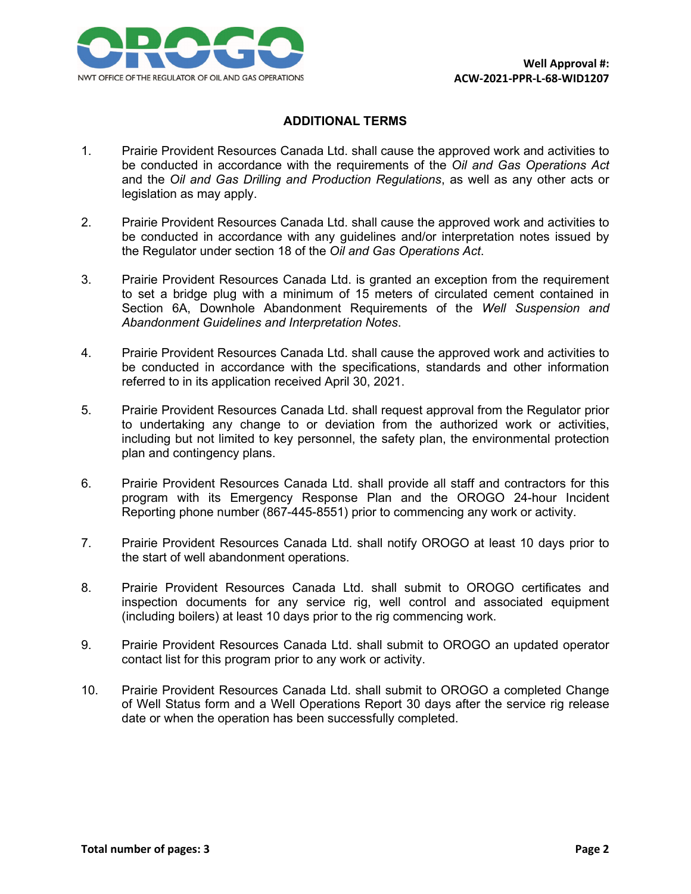

## **ADDITIONAL TERMS**

- 1. Prairie Provident Resources Canada Ltd. shall cause the approved work and activities to be conducted in accordance with the requirements of the *Oil and Gas Operations Act* and the *Oil and Gas Drilling and Production Regulations*, as well as any other acts or legislation as may apply.
- 2. Prairie Provident Resources Canada Ltd. shall cause the approved work and activities to be conducted in accordance with any guidelines and/or interpretation notes issued by the Regulator under section 18 of the *Oil and Gas Operations Act*.
- 3. Prairie Provident Resources Canada Ltd. is granted an exception from the requirement to set a bridge plug with a minimum of 15 meters of circulated cement contained in Section 6A, Downhole Abandonment Requirements of the *Well Suspension and Abandonment Guidelines and Interpretation Notes*.
- 4. Prairie Provident Resources Canada Ltd. shall cause the approved work and activities to be conducted in accordance with the specifications, standards and other information referred to in its application received April 30, 2021.
- 5. Prairie Provident Resources Canada Ltd. shall request approval from the Regulator prior to undertaking any change to or deviation from the authorized work or activities, including but not limited to key personnel, the safety plan, the environmental protection plan and contingency plans.
- 6. Prairie Provident Resources Canada Ltd. shall provide all staff and contractors for this program with its Emergency Response Plan and the OROGO 24-hour Incident Reporting phone number (867-445-8551) prior to commencing any work or activity.
- 7. Prairie Provident Resources Canada Ltd. shall notify OROGO at least 10 days prior to the start of well abandonment operations.
- 8. Prairie Provident Resources Canada Ltd. shall submit to OROGO certificates and inspection documents for any service rig, well control and associated equipment (including boilers) at least 10 days prior to the rig commencing work.
- 9. Prairie Provident Resources Canada Ltd. shall submit to OROGO an updated operator contact list for this program prior to any work or activity.
- 10. Prairie Provident Resources Canada Ltd. shall submit to OROGO a completed Change of Well Status form and a Well Operations Report 30 days after the service rig release date or when the operation has been successfully completed.